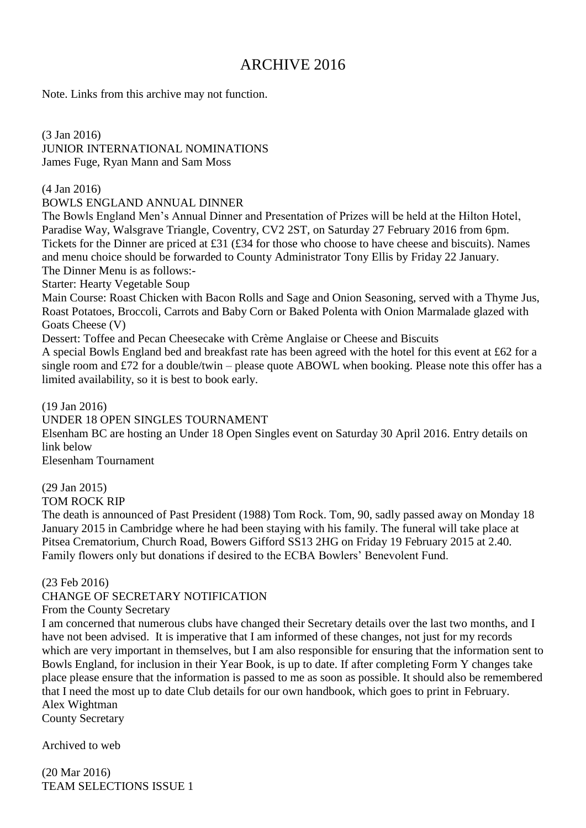# ARCHIVE 2016

Note. Links from this archive may not function.

(3 Jan 2016) JUNIOR INTERNATIONAL NOMINATIONS James Fuge, Ryan Mann and Sam Moss

(4 Jan 2016)

BOWLS ENGLAND ANNUAL DINNER

The Bowls England Men's Annual Dinner and Presentation of Prizes will be held at the Hilton Hotel, Paradise Way, Walsgrave Triangle, Coventry, CV2 2ST, on Saturday 27 February 2016 from 6pm. Tickets for the Dinner are priced at £31 (£34 for those who choose to have cheese and biscuits). Names and menu choice should be forwarded to County Administrator Tony Ellis by Friday 22 January. The Dinner Menu is as follows:-

Starter: Hearty Vegetable Soup

Main Course: Roast Chicken with Bacon Rolls and Sage and Onion Seasoning, served with a Thyme Jus, Roast Potatoes, Broccoli, Carrots and Baby Corn or Baked Polenta with Onion Marmalade glazed with Goats Cheese (V)

Dessert: Toffee and Pecan Cheesecake with Crème Anglaise or Cheese and Biscuits

A special Bowls England bed and breakfast rate has been agreed with the hotel for this event at £62 for a single room and £72 for a double/twin – please quote ABOWL when booking. Please note this offer has a limited availability, so it is best to book early.

(19 Jan 2016)

UNDER 18 OPEN SINGLES TOURNAMENT

Elsenham BC are hosting an Under 18 Open Singles event on Saturday 30 April 2016. Entry details on link below

Elesenham Tournament

(29 Jan 2015) TOM ROCK RIP

The death is announced of Past President (1988) Tom Rock. Tom, 90, sadly passed away on Monday 18 January 2015 in Cambridge where he had been staying with his family. The funeral will take place at Pitsea Crematorium, Church Road, Bowers Gifford SS13 2HG on Friday 19 February 2015 at 2.40. Family flowers only but donations if desired to the ECBA Bowlers' Benevolent Fund.

(23 Feb 2016)

CHANGE OF SECRETARY NOTIFICATION

From the County Secretary

I am concerned that numerous clubs have changed their Secretary details over the last two months, and I have not been advised. It is imperative that I am informed of these changes, not just for my records which are very important in themselves, but I am also responsible for ensuring that the information sent to Bowls England, for inclusion in their Year Book, is up to date. If after completing Form Y changes take place please ensure that the information is passed to me as soon as possible. It should also be remembered that I need the most up to date Club details for our own handbook, which goes to print in February. Alex Wightman

County Secretary

Archived to web

(20 Mar 2016) TEAM SELECTIONS ISSUE 1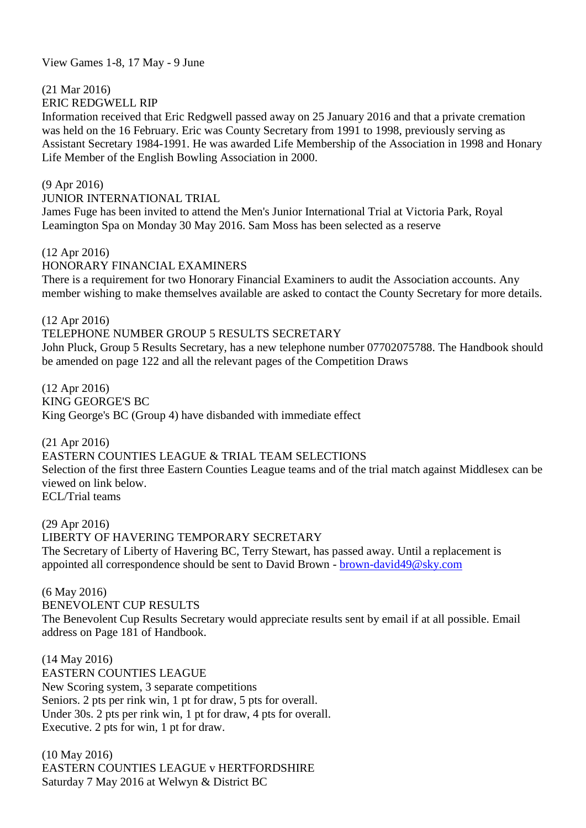View Games 1-8, 17 May - 9 June

(21 Mar 2016)

ERIC REDGWELL RIP

Information received that Eric Redgwell passed away on 25 January 2016 and that a private cremation was held on the 16 February. Eric was County Secretary from 1991 to 1998, previously serving as Assistant Secretary 1984-1991. He was awarded Life Membership of the Association in 1998 and Honary Life Member of the English Bowling Association in 2000.

(9 Apr 2016)

JUNIOR INTERNATIONAL TRIAL

James Fuge has been invited to attend the Men's Junior International Trial at Victoria Park, Royal Leamington Spa on Monday 30 May 2016. Sam Moss has been selected as a reserve

### (12 Apr 2016)

### HONORARY FINANCIAL EXAMINERS

There is a requirement for two Honorary Financial Examiners to audit the Association accounts. Any member wishing to make themselves available are asked to contact the County Secretary for more details.

(12 Apr 2016)

### TELEPHONE NUMBER GROUP 5 RESULTS SECRETARY

John Pluck, Group 5 Results Secretary, has a new telephone number 07702075788. The Handbook should be amended on page 122 and all the relevant pages of the Competition Draws

(12 Apr 2016) KING GEORGE'S BC King George's BC (Group 4) have disbanded with immediate effect

(21 Apr 2016)

EASTERN COUNTIES LEAGUE & TRIAL TEAM SELECTIONS Selection of the first three Eastern Counties League teams and of the trial match against Middlesex can be viewed on link below. ECL/Trial teams

(29 Apr 2016) LIBERTY OF HAVERING TEMPORARY SECRETARY The Secretary of Liberty of Havering BC, Terry Stewart, has passed away. Until a replacement is appointed all correspondence should be sent to David Brown - [brown-david49@sky.com](mailto:brown-david49@sky.com)

(6 May 2016)

BENEVOLENT CUP RESULTS The Benevolent Cup Results Secretary would appreciate results sent by email if at all possible. Email address on Page 181 of Handbook.

(14 May 2016) EASTERN COUNTIES LEAGUE New Scoring system, 3 separate competitions Seniors. 2 pts per rink win, 1 pt for draw, 5 pts for overall. Under 30s. 2 pts per rink win, 1 pt for draw, 4 pts for overall. Executive. 2 pts for win, 1 pt for draw.

(10 May 2016) EASTERN COUNTIES LEAGUE v HERTFORDSHIRE Saturday 7 May 2016 at Welwyn & District BC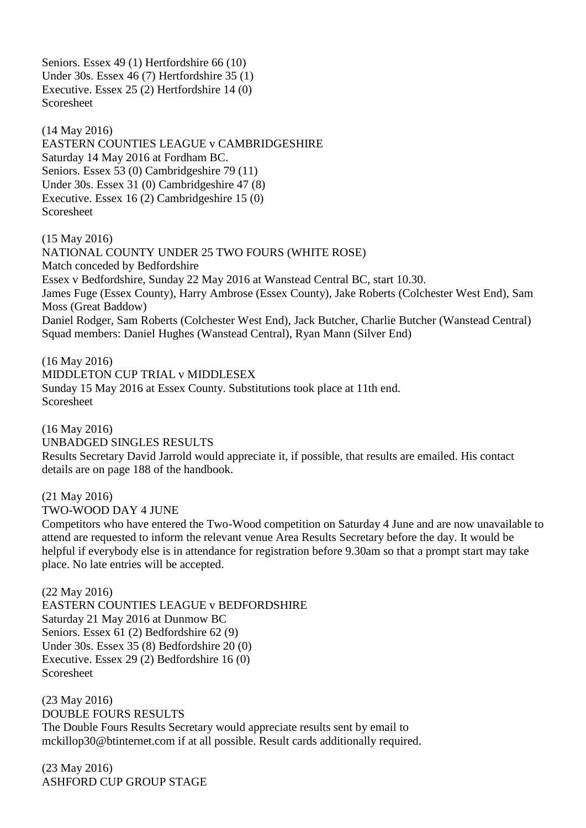Seniors. Essex 49 (1) Hertfordshire 66 (10) Under 30s. Essex 46 (7) Hertfordshire 35 (1) Executive. Essex 25 (2) Hertfordshire 14 (0) Scoresheet

(14 May 2016) EASTERN COUNTIES LEAGUE v CAMBRIDGESHIRE Saturday 14 May 2016 at Fordham BC. Seniors. Essex 53 (0) Cambridgeshire 79 (11) Under 30s. Essex 31 (0) Cambridgeshire 47 (8) Executive. Essex 16 (2) Cambridgeshire 15 (0) Scoresheet

(15 May 2016) NATIONAL COUNTY UNDER 25 TWO FOURS (WHITE ROSE) Match conceded by Bedfordshire Essex v Bedfordshire, Sunday 22 May 2016 at Wanstead Central BC, start 10.30. James Fuge (Essex County), Harry Ambrose (Essex County), Jake Roberts (Colchester West End), Sam Moss (Great Baddow) Daniel Rodger, Sam Roberts (Colchester West End), Jack Butcher, Charlie Butcher (Wanstead Central) Squad members: Daniel Hughes (Wanstead Central), Ryan Mann (Silver End)

(16 May 2016) MIDDLETON CUP TRIAL v MIDDLESEX Sunday 15 May 2016 at Essex County. Substitutions took place at 11th end. Scoresheet

(16 May 2016) UNBADGED SINGLES RESULTS Results Secretary David Jarrold would appreciate it, if possible, that results are emailed. His contact details are on page 188 of the handbook.

(21 May 2016) TWO-WOOD DAY 4 JUNE

Competitors who have entered the Two-Wood competition on Saturday 4 June and are now unavailable to attend are requested to inform the relevant venue Area Results Secretary before the day. It would be helpful if everybody else is in attendance for registration before 9.30am so that a prompt start may take place. No late entries will be accepted.

(22 May 2016) EASTERN COUNTIES LEAGUE v BEDFORDSHIRE Saturday 21 May 2016 at Dunmow BC Seniors. Essex 61 (2) Bedfordshire 62 (9) Under 30s. Essex 35 (8) Bedfordshire 20 (0) Executive. Essex 29 (2) Bedfordshire 16 (0) Scoresheet

(23 May 2016) DOUBLE FOURS RESULTS The Double Fours Results Secretary would appreciate results sent by email to mckillop30@btinternet.com if at all possible. Result cards additionally required.

(23 May 2016) ASHFORD CUP GROUP STAGE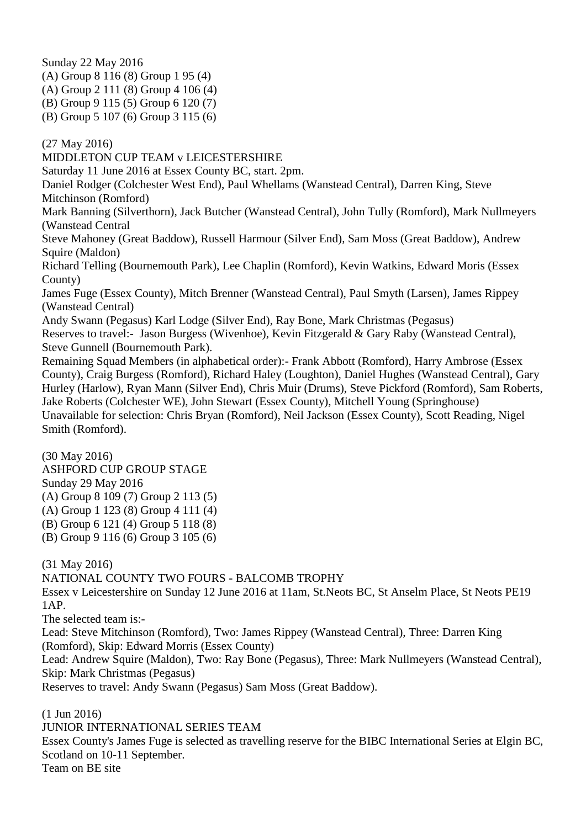Sunday 22 May 2016 (A) Group 8 116 (8) Group 1 95 (4) (A) Group 2 111 (8) Group 4 106 (4) (B) Group 9 115 (5) Group 6 120 (7) (B) Group 5 107 (6) Group 3 115 (6)

(27 May 2016)

MIDDLETON CUP TEAM v LEICESTERSHIRE

Saturday 11 June 2016 at Essex County BC, start. 2pm.

Daniel Rodger (Colchester West End), Paul Whellams (Wanstead Central), Darren King, Steve Mitchinson (Romford)

Mark Banning (Silverthorn), Jack Butcher (Wanstead Central), John Tully (Romford), Mark Nullmeyers (Wanstead Central

Steve Mahoney (Great Baddow), Russell Harmour (Silver End), Sam Moss (Great Baddow), Andrew Squire (Maldon)

Richard Telling (Bournemouth Park), Lee Chaplin (Romford), Kevin Watkins, Edward Moris (Essex County)

James Fuge (Essex County), Mitch Brenner (Wanstead Central), Paul Smyth (Larsen), James Rippey (Wanstead Central)

Andy Swann (Pegasus) Karl Lodge (Silver End), Ray Bone, Mark Christmas (Pegasus) Reserves to travel:- Jason Burgess (Wivenhoe), Kevin Fitzgerald & Gary Raby (Wanstead Central), Steve Gunnell (Bournemouth Park).

Remaining Squad Members (in alphabetical order):- Frank Abbott (Romford), Harry Ambrose (Essex County), Craig Burgess (Romford), Richard Haley (Loughton), Daniel Hughes (Wanstead Central), Gary Hurley (Harlow), Ryan Mann (Silver End), Chris Muir (Drums), Steve Pickford (Romford), Sam Roberts, Jake Roberts (Colchester WE), John Stewart (Essex County), Mitchell Young (Springhouse) Unavailable for selection: Chris Bryan (Romford), Neil Jackson (Essex County), Scott Reading, Nigel Smith (Romford).

(30 May 2016) ASHFORD CUP GROUP STAGE Sunday 29 May 2016 (A) Group 8 109 (7) Group 2 113 (5) (A) Group 1 123 (8) Group 4 111 (4) (B) Group 6 121 (4) Group 5 118 (8) (B) Group 9 116 (6) Group 3 105 (6)

(31 May 2016)

NATIONAL COUNTY TWO FOURS - BALCOMB TROPHY

Essex v Leicestershire on Sunday 12 June 2016 at 11am, St.Neots BC, St Anselm Place, St Neots PE19 1AP.

The selected team is:-

Lead: Steve Mitchinson (Romford), Two: James Rippey (Wanstead Central), Three: Darren King (Romford), Skip: Edward Morris (Essex County)

Lead: Andrew Squire (Maldon), Two: Ray Bone (Pegasus), Three: Mark Nullmeyers (Wanstead Central), Skip: Mark Christmas (Pegasus)

Reserves to travel: Andy Swann (Pegasus) Sam Moss (Great Baddow).

(1 Jun 2016)

JUNIOR INTERNATIONAL SERIES TEAM

Essex County's James Fuge is selected as travelling reserve for the BIBC International Series at Elgin BC, Scotland on 10-11 September. Team on BE site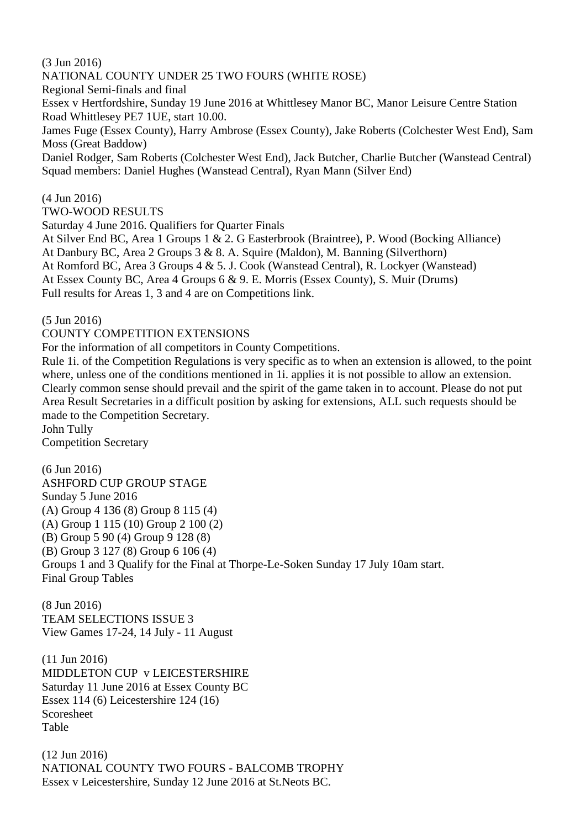(3 Jun 2016) NATIONAL COUNTY UNDER 25 TWO FOURS (WHITE ROSE) Regional Semi-finals and final Essex v Hertfordshire, Sunday 19 June 2016 at Whittlesey Manor BC, Manor Leisure Centre Station Road Whittlesey PE7 1UE, start 10.00. James Fuge (Essex County), Harry Ambrose (Essex County), Jake Roberts (Colchester West End), Sam Moss (Great Baddow) Daniel Rodger, Sam Roberts (Colchester West End), Jack Butcher, Charlie Butcher (Wanstead Central) Squad members: Daniel Hughes (Wanstead Central), Ryan Mann (Silver End)

(4 Jun 2016) TWO-WOOD RESULTS

Saturday 4 June 2016. Qualifiers for Quarter Finals

At Silver End BC, Area 1 Groups 1 & 2. G Easterbrook (Braintree), P. Wood (Bocking Alliance) At Danbury BC, Area 2 Groups 3 & 8. A. Squire (Maldon), M. Banning (Silverthorn) At Romford BC, Area 3 Groups 4 & 5. J. Cook (Wanstead Central), R. Lockyer (Wanstead) At Essex County BC, Area 4 Groups 6 & 9. E. Morris (Essex County), S. Muir (Drums) Full results for Areas 1, 3 and 4 are on Competitions link.

(5 Jun 2016)

COUNTY COMPETITION EXTENSIONS

For the information of all competitors in County Competitions.

Rule 1i. of the Competition Regulations is very specific as to when an extension is allowed, to the point where, unless one of the conditions mentioned in 1*i*. applies it is not possible to allow an extension. Clearly common sense should prevail and the spirit of the game taken in to account. Please do not put Area Result Secretaries in a difficult position by asking for extensions, ALL such requests should be made to the Competition Secretary. John Tully

Competition Secretary

(6 Jun 2016) ASHFORD CUP GROUP STAGE Sunday 5 June 2016 (A) Group 4 136 (8) Group 8 115 (4) (A) Group 1 115 (10) Group 2 100 (2) (B) Group 5 90 (4) Group 9 128 (8) (B) Group 3 127 (8) Group 6 106 (4) Groups 1 and 3 Qualify for the Final at Thorpe-Le-Soken Sunday 17 July 10am start. Final Group Tables

(8 Jun 2016) TEAM SELECTIONS ISSUE 3 View Games 17-24, 14 July - 11 August

(11 Jun 2016) MIDDLETON CUP v LEICESTERSHIRE Saturday 11 June 2016 at Essex County BC Essex 114 (6) Leicestershire 124 (16) Scoresheet Table

(12 Jun 2016) NATIONAL COUNTY TWO FOURS - BALCOMB TROPHY Essex v Leicestershire, Sunday 12 June 2016 at St.Neots BC.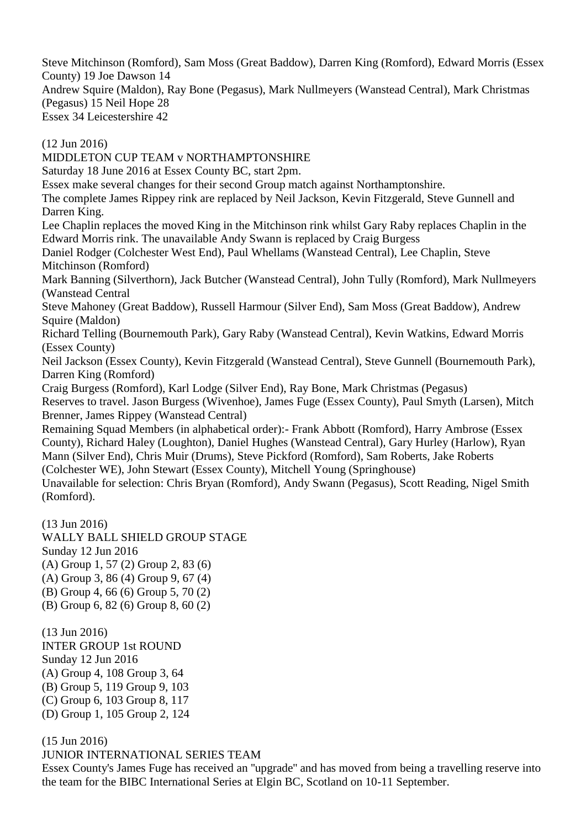Steve Mitchinson (Romford), Sam Moss (Great Baddow), Darren King (Romford), Edward Morris (Essex County) 19 Joe Dawson 14 Andrew Squire (Maldon), Ray Bone (Pegasus), Mark Nullmeyers (Wanstead Central), Mark Christmas (Pegasus) 15 Neil Hope 28 Essex 34 Leicestershire 42

(12 Jun 2016) MIDDLETON CUP TEAM v NORTHAMPTONSHIRE Saturday 18 June 2016 at Essex County BC, start 2pm. Essex make several changes for their second Group match against Northamptonshire. The complete James Rippey rink are replaced by Neil Jackson, Kevin Fitzgerald, Steve Gunnell and Darren King. Lee Chaplin replaces the moved King in the Mitchinson rink whilst Gary Raby replaces Chaplin in the Edward Morris rink. The unavailable Andy Swann is replaced by Craig Burgess Daniel Rodger (Colchester West End), Paul Whellams (Wanstead Central), Lee Chaplin, Steve Mitchinson (Romford) Mark Banning (Silverthorn), Jack Butcher (Wanstead Central), John Tully (Romford), Mark Nullmeyers (Wanstead Central Steve Mahoney (Great Baddow), Russell Harmour (Silver End), Sam Moss (Great Baddow), Andrew Squire (Maldon) Richard Telling (Bournemouth Park), Gary Raby (Wanstead Central), Kevin Watkins, Edward Morris (Essex County) Neil Jackson (Essex County), Kevin Fitzgerald (Wanstead Central), Steve Gunnell (Bournemouth Park), Darren King (Romford) Craig Burgess (Romford), Karl Lodge (Silver End), Ray Bone, Mark Christmas (Pegasus) Reserves to travel. Jason Burgess (Wivenhoe), James Fuge (Essex County), Paul Smyth (Larsen), Mitch Brenner, James Rippey (Wanstead Central) Remaining Squad Members (in alphabetical order):- Frank Abbott (Romford), Harry Ambrose (Essex County), Richard Haley (Loughton), Daniel Hughes (Wanstead Central), Gary Hurley (Harlow), Ryan Mann (Silver End), Chris Muir (Drums), Steve Pickford (Romford), Sam Roberts, Jake Roberts (Colchester WE), John Stewart (Essex County), Mitchell Young (Springhouse) Unavailable for selection: Chris Bryan (Romford), Andy Swann (Pegasus), Scott Reading, Nigel Smith

(Romford).

(13 Jun 2016) WALLY BALL SHIELD GROUP STAGE Sunday 12 Jun 2016 (A) Group 1, 57 (2) Group 2, 83 (6) (A) Group 3, 86 (4) Group 9, 67 (4) (B) Group 4, 66 (6) Group 5, 70 (2) (B) Group 6, 82 (6) Group 8, 60 (2)

(13 Jun 2016) INTER GROUP 1st ROUND Sunday 12 Jun 2016 (A) Group 4, 108 Group 3, 64 (B) Group 5, 119 Group 9, 103 (C) Group 6, 103 Group 8, 117 (D) Group 1, 105 Group 2, 124

(15 Jun 2016) JUNIOR INTERNATIONAL SERIES TEAM Essex County's James Fuge has received an ''upgrade'' and has moved from being a travelling reserve into the team for the BIBC International Series at Elgin BC, Scotland on 10-11 September.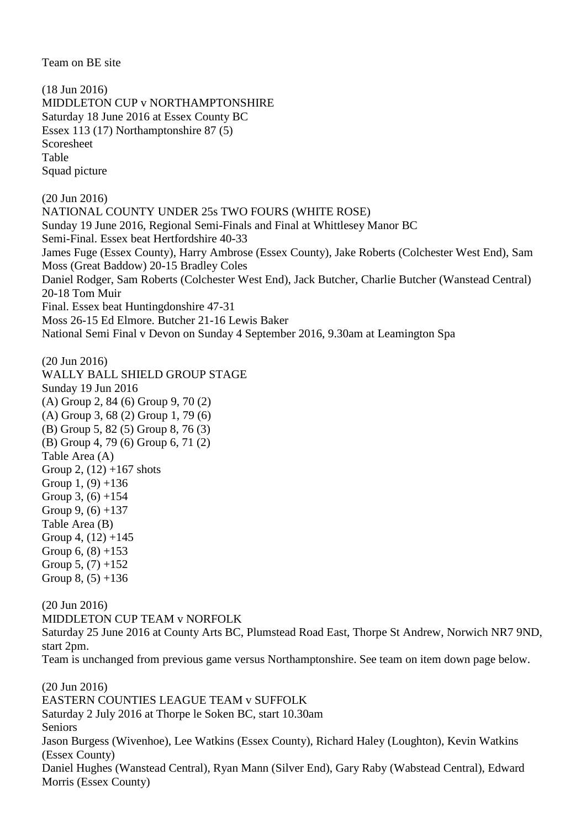Team on BE site

(18 Jun 2016) MIDDLETON CUP v NORTHAMPTONSHIRE Saturday 18 June 2016 at Essex County BC Essex 113 (17) Northamptonshire 87 (5) Scoresheet Table Squad picture (20 Jun 2016) NATIONAL COUNTY UNDER 25s TWO FOURS (WHITE ROSE) Sunday 19 June 2016, Regional Semi-Finals and Final at Whittlesey Manor BC Semi-Final. Essex beat Hertfordshire 40-33 James Fuge (Essex County), Harry Ambrose (Essex County), Jake Roberts (Colchester West End), Sam Moss (Great Baddow) 20-15 Bradley Coles Daniel Rodger, Sam Roberts (Colchester West End), Jack Butcher, Charlie Butcher (Wanstead Central) 20-18 Tom Muir Final. Essex beat Huntingdonshire 47-31 Moss 26-15 Ed Elmore. Butcher 21-16 Lewis Baker National Semi Final v Devon on Sunday 4 September 2016, 9.30am at Leamington Spa

(20 Jun 2016) WALLY BALL SHIELD GROUP STAGE Sunday 19 Jun 2016 (A) Group 2, 84 (6) Group 9, 70 (2) (A) Group 3, 68 (2) Group 1, 79 (6) (B) Group 5, 82 (5) Group 8, 76 (3) (B) Group 4, 79 (6) Group 6, 71 (2) Table Area (A) Group 2,  $(12) +167$  shots Group 1,  $(9) + 136$ Group 3,  $(6) +154$ Group 9,  $(6) +137$ Table Area (B) Group 4,  $(12) +145$ Group  $6, (8) +153$ Group 5,  $(7) +152$ Group  $8, (5) +136$ 

(20 Jun 2016) MIDDLETON CUP TEAM v NORFOLK Saturday 25 June 2016 at County Arts BC, Plumstead Road East, Thorpe St Andrew, Norwich NR7 9ND, start 2pm.

Team is unchanged from previous game versus Northamptonshire. See team on item down page below.

(20 Jun 2016) EASTERN COUNTIES LEAGUE TEAM v SUFFOLK Saturday 2 July 2016 at Thorpe le Soken BC, start 10.30am Seniors Jason Burgess (Wivenhoe), Lee Watkins (Essex County), Richard Haley (Loughton), Kevin Watkins (Essex County) Daniel Hughes (Wanstead Central), Ryan Mann (Silver End), Gary Raby (Wabstead Central), Edward Morris (Essex County)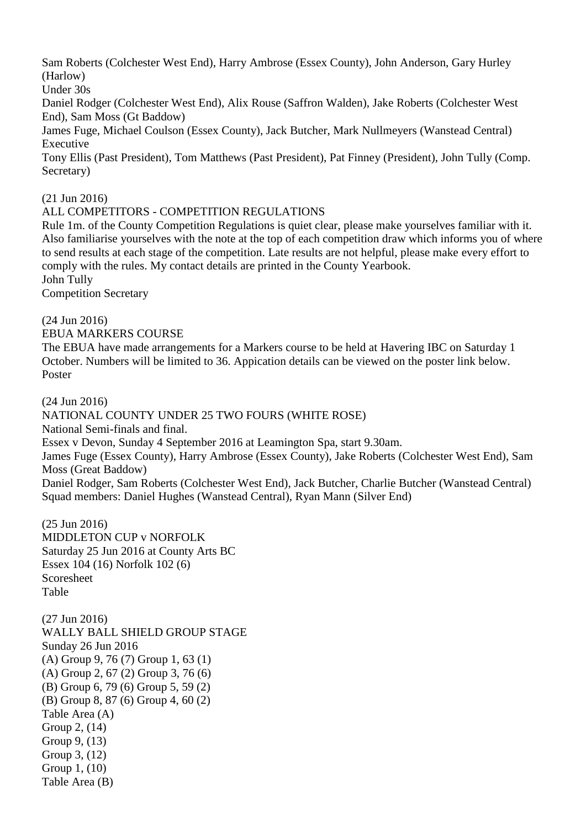Sam Roberts (Colchester West End), Harry Ambrose (Essex County), John Anderson, Gary Hurley (Harlow)

Under 30s

Daniel Rodger (Colchester West End), Alix Rouse (Saffron Walden), Jake Roberts (Colchester West End), Sam Moss (Gt Baddow)

James Fuge, Michael Coulson (Essex County), Jack Butcher, Mark Nullmeyers (Wanstead Central) Executive

Tony Ellis (Past President), Tom Matthews (Past President), Pat Finney (President), John Tully (Comp. Secretary)

(21 Jun 2016)

### ALL COMPETITORS - COMPETITION REGULATIONS

Rule 1m. of the County Competition Regulations is quiet clear, please make yourselves familiar with it. Also familiarise yourselves with the note at the top of each competition draw which informs you of where to send results at each stage of the competition. Late results are not helpful, please make every effort to comply with the rules. My contact details are printed in the County Yearbook. John Tully

Competition Secretary

(24 Jun 2016) EBUA MARKERS COURSE

The EBUA have made arrangements for a Markers course to be held at Havering IBC on Saturday 1 October. Numbers will be limited to 36. Appication details can be viewed on the poster link below. Poster

(24 Jun 2016)

NATIONAL COUNTY UNDER 25 TWO FOURS (WHITE ROSE)

National Semi-finals and final.

Essex v Devon, Sunday 4 September 2016 at Leamington Spa, start 9.30am.

James Fuge (Essex County), Harry Ambrose (Essex County), Jake Roberts (Colchester West End), Sam Moss (Great Baddow)

Daniel Rodger, Sam Roberts (Colchester West End), Jack Butcher, Charlie Butcher (Wanstead Central) Squad members: Daniel Hughes (Wanstead Central), Ryan Mann (Silver End)

(25 Jun 2016) MIDDLETON CUP v NORFOLK Saturday 25 Jun 2016 at County Arts BC Essex 104 (16) Norfolk 102 (6) Scoresheet Table

(27 Jun 2016) WALLY BALL SHIELD GROUP STAGE Sunday 26 Jun 2016 (A) Group 9, 76 (7) Group 1, 63 (1) (A) Group 2, 67 (2) Group 3, 76 (6) (B) Group 6, 79 (6) Group 5, 59 (2) (B) Group 8, 87 (6) Group 4, 60 (2) Table Area (A) Group 2, (14) Group 9, (13) Group 3, (12) Group 1, (10) Table Area (B)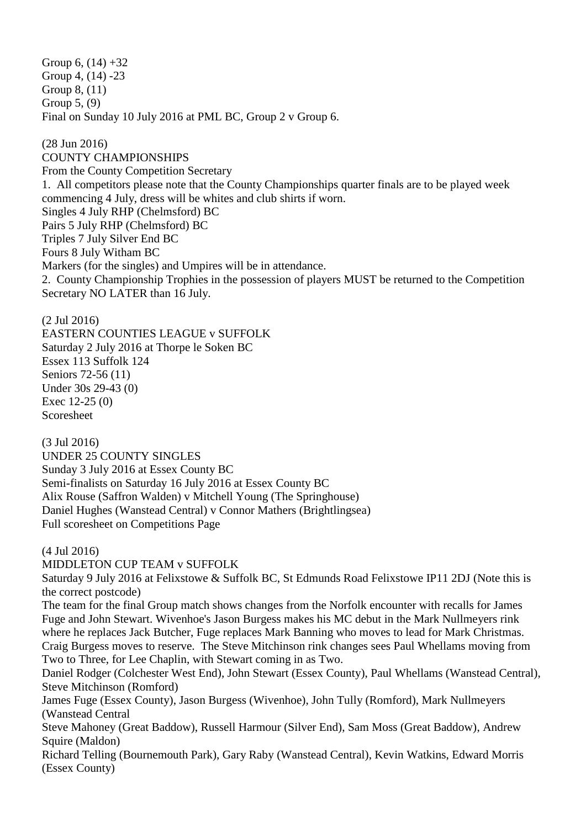Group 6,  $(14) + 32$ Group 4, (14) -23 Group 8, (11) Group 5, (9) Final on Sunday 10 July 2016 at PML BC, Group 2 v Group 6.

(28 Jun 2016) COUNTY CHAMPIONSHIPS From the County Competition Secretary 1. All competitors please note that the County Championships quarter finals are to be played week commencing 4 July, dress will be whites and club shirts if worn. Singles 4 July RHP (Chelmsford) BC Pairs 5 July RHP (Chelmsford) BC Triples 7 July Silver End BC Fours 8 July Witham BC Markers (for the singles) and Umpires will be in attendance. 2. County Championship Trophies in the possession of players MUST be returned to the Competition Secretary NO LATER than 16 July.

(2 Jul 2016) EASTERN COUNTIES LEAGUE v SUFFOLK Saturday 2 July 2016 at Thorpe le Soken BC Essex 113 Suffolk 124 Seniors 72-56 (11) Under 30s 29-43 (0) Exec 12-25 (0) Scoresheet

(3 Jul 2016) UNDER 25 COUNTY SINGLES Sunday 3 July 2016 at Essex County BC Semi-finalists on Saturday 16 July 2016 at Essex County BC Alix Rouse (Saffron Walden) v Mitchell Young (The Springhouse) Daniel Hughes (Wanstead Central) v Connor Mathers (Brightlingsea) Full scoresheet on Competitions Page

(4 Jul 2016)

MIDDLETON CUP TEAM v SUFFOLK

Saturday 9 July 2016 at Felixstowe & Suffolk BC, St Edmunds Road Felixstowe IP11 2DJ (Note this is the correct postcode)

The team for the final Group match shows changes from the Norfolk encounter with recalls for James Fuge and John Stewart. Wivenhoe's Jason Burgess makes his MC debut in the Mark Nullmeyers rink where he replaces Jack Butcher, Fuge replaces Mark Banning who moves to lead for Mark Christmas. Craig Burgess moves to reserve. The Steve Mitchinson rink changes sees Paul Whellams moving from Two to Three, for Lee Chaplin, with Stewart coming in as Two.

Daniel Rodger (Colchester West End), John Stewart (Essex County), Paul Whellams (Wanstead Central), Steve Mitchinson (Romford)

James Fuge (Essex County), Jason Burgess (Wivenhoe), John Tully (Romford), Mark Nullmeyers (Wanstead Central

Steve Mahoney (Great Baddow), Russell Harmour (Silver End), Sam Moss (Great Baddow), Andrew Squire (Maldon)

Richard Telling (Bournemouth Park), Gary Raby (Wanstead Central), Kevin Watkins, Edward Morris (Essex County)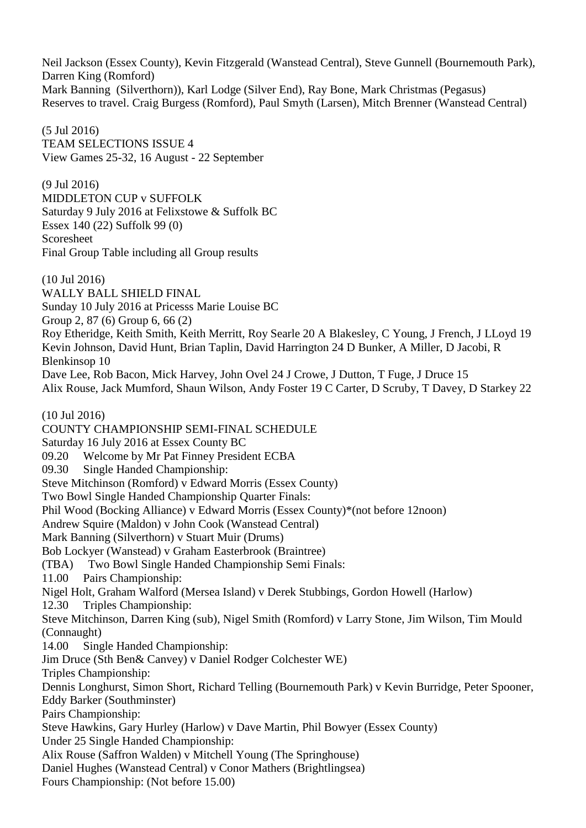Neil Jackson (Essex County), Kevin Fitzgerald (Wanstead Central), Steve Gunnell (Bournemouth Park), Darren King (Romford) Mark Banning (Silverthorn)), Karl Lodge (Silver End), Ray Bone, Mark Christmas (Pegasus) Reserves to travel. Craig Burgess (Romford), Paul Smyth (Larsen), Mitch Brenner (Wanstead Central)

(5 Jul 2016) TEAM SELECTIONS ISSUE 4 View Games 25-32, 16 August - 22 September

(9 Jul 2016) MIDDLETON CUP v SUFFOLK Saturday 9 July 2016 at Felixstowe & Suffolk BC Essex 140 (22) Suffolk 99 (0) Scoresheet Final Group Table including all Group results

(10 Jul 2016)

WALLY BALL SHIELD FINAL Sunday 10 July 2016 at Pricesss Marie Louise BC

Group 2, 87 (6) Group 6, 66 (2)

Roy Etheridge, Keith Smith, Keith Merritt, Roy Searle 20 A Blakesley, C Young, J French, J LLoyd 19 Kevin Johnson, David Hunt, Brian Taplin, David Harrington 24 D Bunker, A Miller, D Jacobi, R Blenkinsop 10

Dave Lee, Rob Bacon, Mick Harvey, John Ovel 24 J Crowe, J Dutton, T Fuge, J Druce 15 Alix Rouse, Jack Mumford, Shaun Wilson, Andy Foster 19 C Carter, D Scruby, T Davey, D Starkey 22

(10 Jul 2016)

COUNTY CHAMPIONSHIP SEMI-FINAL SCHEDULE

Saturday 16 July 2016 at Essex County BC

09.20 Welcome by Mr Pat Finney President ECBA

09.30 Single Handed Championship:

Steve Mitchinson (Romford) v Edward Morris (Essex County)

Two Bowl Single Handed Championship Quarter Finals:

Phil Wood (Bocking Alliance) v Edward Morris (Essex County)\*(not before 12noon)

Andrew Squire (Maldon) v John Cook (Wanstead Central)

Mark Banning (Silverthorn) v Stuart Muir (Drums)

Bob Lockyer (Wanstead) v Graham Easterbrook (Braintree)

(TBA) Two Bowl Single Handed Championship Semi Finals:

11.00 Pairs Championship:

Nigel Holt, Graham Walford (Mersea Island) v Derek Stubbings, Gordon Howell (Harlow)

12.30 Triples Championship:

Steve Mitchinson, Darren King (sub), Nigel Smith (Romford) v Larry Stone, Jim Wilson, Tim Mould (Connaught)

14.00 Single Handed Championship:

Jim Druce (Sth Ben& Canvey) v Daniel Rodger Colchester WE)

Triples Championship:

Dennis Longhurst, Simon Short, Richard Telling (Bournemouth Park) v Kevin Burridge, Peter Spooner, Eddy Barker (Southminster)

Pairs Championship:

Steve Hawkins, Gary Hurley (Harlow) v Dave Martin, Phil Bowyer (Essex County)

Under 25 Single Handed Championship:

Alix Rouse (Saffron Walden) v Mitchell Young (The Springhouse)

Daniel Hughes (Wanstead Central) v Conor Mathers (Brightlingsea)

Fours Championship: (Not before 15.00)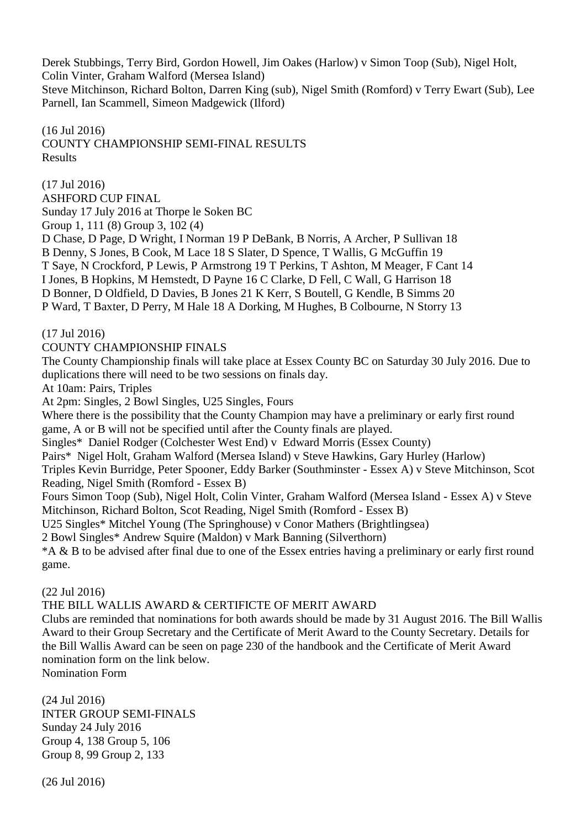Derek Stubbings, Terry Bird, Gordon Howell, Jim Oakes (Harlow) v Simon Toop (Sub), Nigel Holt, Colin Vinter, Graham Walford (Mersea Island)

Steve Mitchinson, Richard Bolton, Darren King (sub), Nigel Smith (Romford) v Terry Ewart (Sub), Lee Parnell, Ian Scammell, Simeon Madgewick (Ilford)

### (16 Jul 2016) COUNTY CHAMPIONSHIP SEMI-FINAL RESULTS Results

(17 Jul 2016) ASHFORD CUP FINAL Sunday 17 July 2016 at Thorpe le Soken BC Group 1, 111 (8) Group 3, 102 (4) D Chase, D Page, D Wright, I Norman 19 P DeBank, B Norris, A Archer, P Sullivan 18 B Denny, S Jones, B Cook, M Lace 18 S Slater, D Spence, T Wallis, G McGuffin 19 T Saye, N Crockford, P Lewis, P Armstrong 19 T Perkins, T Ashton, M Meager, F Cant 14 I Jones, B Hopkins, M Hemstedt, D Payne 16 C Clarke, D Fell, C Wall, G Harrison 18 D Bonner, D Oldfield, D Davies, B Jones 21 K Kerr, S Boutell, G Kendle, B Simms 20 P Ward, T Baxter, D Perry, M Hale 18 A Dorking, M Hughes, B Colbourne, N Storry 13

(17 Jul 2016)

### COUNTY CHAMPIONSHIP FINALS

The County Championship finals will take place at Essex County BC on Saturday 30 July 2016. Due to duplications there will need to be two sessions on finals day.

At 10am: Pairs, Triples

At 2pm: Singles, 2 Bowl Singles, U25 Singles, Fours

Where there is the possibility that the County Champion may have a preliminary or early first round game, A or B will not be specified until after the County finals are played.

Singles\* Daniel Rodger (Colchester West End) v Edward Morris (Essex County)

Pairs\* Nigel Holt, Graham Walford (Mersea Island) v Steve Hawkins, Gary Hurley (Harlow)

Triples Kevin Burridge, Peter Spooner, Eddy Barker (Southminster - Essex A) v Steve Mitchinson, Scot Reading, Nigel Smith (Romford - Essex B)

Fours Simon Toop (Sub), Nigel Holt, Colin Vinter, Graham Walford (Mersea Island - Essex A) v Steve Mitchinson, Richard Bolton, Scot Reading, Nigel Smith (Romford - Essex B)

U25 Singles\* Mitchel Young (The Springhouse) v Conor Mathers (Brightlingsea)

2 Bowl Singles\* Andrew Squire (Maldon) v Mark Banning (Silverthorn)

\*A & B to be advised after final due to one of the Essex entries having a preliminary or early first round game.

(22 Jul 2016)

THE BILL WALLIS AWARD & CERTIFICTE OF MERIT AWARD

Clubs are reminded that nominations for both awards should be made by 31 August 2016. The Bill Wallis Award to their Group Secretary and the Certificate of Merit Award to the County Secretary. Details for the Bill Wallis Award can be seen on page 230 of the handbook and the Certificate of Merit Award nomination form on the link below.

Nomination Form

(24 Jul 2016) INTER GROUP SEMI-FINALS Sunday 24 July 2016 Group 4, 138 Group 5, 106 Group 8, 99 Group 2, 133

(26 Jul 2016)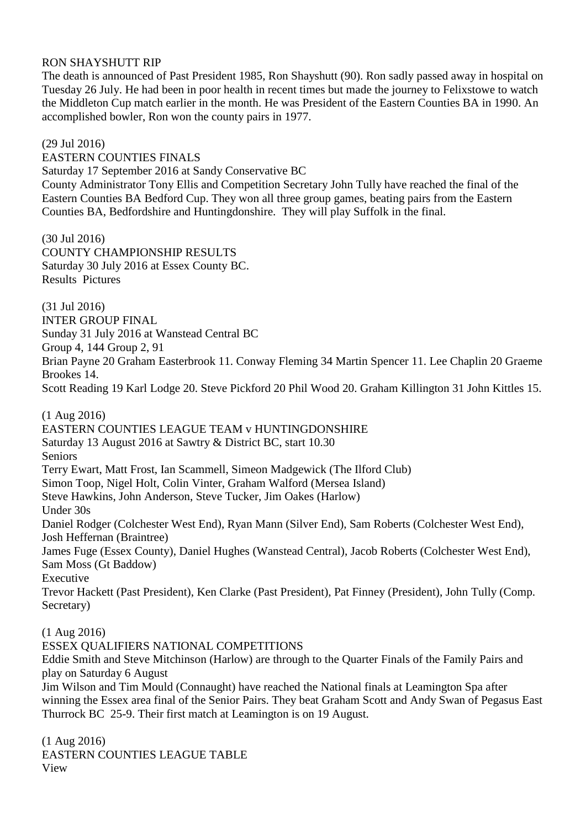### RON SHAYSHUTT RIP

The death is announced of Past President 1985, Ron Shayshutt (90). Ron sadly passed away in hospital on Tuesday 26 July. He had been in poor health in recent times but made the journey to Felixstowe to watch the Middleton Cup match earlier in the month. He was President of the Eastern Counties BA in 1990. An accomplished bowler, Ron won the county pairs in 1977.

(29 Jul 2016)

EASTERN COUNTIES FINALS Saturday 17 September 2016 at Sandy Conservative BC County Administrator Tony Ellis and Competition Secretary John Tully have reached the final of the Eastern Counties BA Bedford Cup. They won all three group games, beating pairs from the Eastern Counties BA, Bedfordshire and Huntingdonshire. They will play Suffolk in the final.

(30 Jul 2016) COUNTY CHAMPIONSHIP RESULTS Saturday 30 July 2016 at Essex County BC. Results Pictures

(31 Jul 2016) INTER GROUP FINAL Sunday 31 July 2016 at Wanstead Central BC Group 4, 144 Group 2, 91 Brian Payne 20 Graham Easterbrook 11. Conway Fleming 34 Martin Spencer 11. Lee Chaplin 20 Graeme Brookes 14.

Scott Reading 19 Karl Lodge 20. Steve Pickford 20 Phil Wood 20. Graham Killington 31 John Kittles 15.

(1 Aug 2016) EASTERN COUNTIES LEAGUE TEAM v HUNTINGDONSHIRE Saturday 13 August 2016 at Sawtry & District BC, start 10.30 Seniors Terry Ewart, Matt Frost, Ian Scammell, Simeon Madgewick (The Ilford Club) Simon Toop, Nigel Holt, Colin Vinter, Graham Walford (Mersea Island) Steve Hawkins, John Anderson, Steve Tucker, Jim Oakes (Harlow) Under 30s Daniel Rodger (Colchester West End), Ryan Mann (Silver End), Sam Roberts (Colchester West End), Josh Heffernan (Braintree) James Fuge (Essex County), Daniel Hughes (Wanstead Central), Jacob Roberts (Colchester West End), Sam Moss (Gt Baddow) Executive Trevor Hackett (Past President), Ken Clarke (Past President), Pat Finney (President), John Tully (Comp. Secretary) (1 Aug 2016) ESSEX QUALIFIERS NATIONAL COMPETITIONS Eddie Smith and Steve Mitchinson (Harlow) are through to the Quarter Finals of the Family Pairs and play on Saturday 6 August Jim Wilson and Tim Mould (Connaught) have reached the National finals at Leamington Spa after

winning the Essex area final of the Senior Pairs. They beat Graham Scott and Andy Swan of Pegasus East Thurrock BC 25-9. Their first match at Leamington is on 19 August.

(1 Aug 2016) EASTERN COUNTIES LEAGUE TABLE View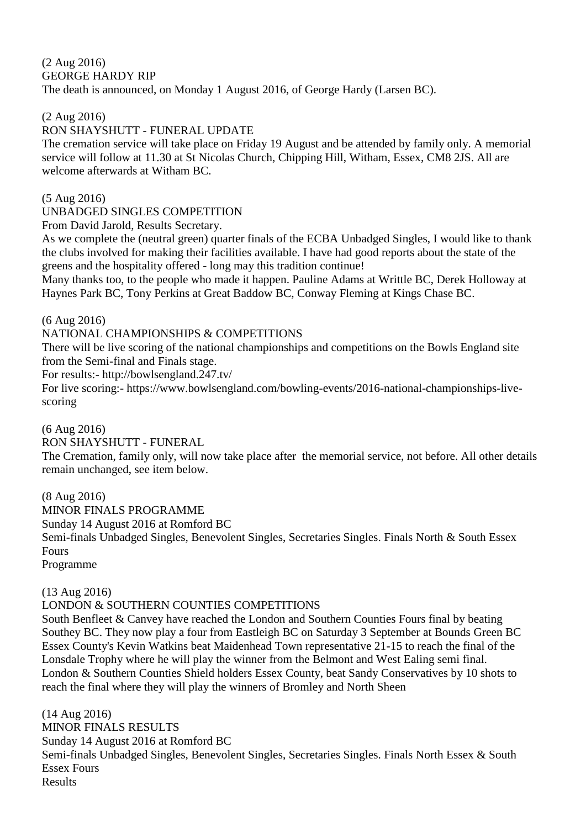### (2 Aug 2016) GEORGE HARDY RIP The death is announced, on Monday 1 August 2016, of George Hardy (Larsen BC).

### (2 Aug 2016)

### RON SHAYSHUTT - FUNERAL UPDATE

The cremation service will take place on Friday 19 August and be attended by family only. A memorial service will follow at 11.30 at St Nicolas Church, Chipping Hill, Witham, Essex, CM8 2JS. All are welcome afterwards at Witham BC.

(5 Aug 2016)

### UNBADGED SINGLES COMPETITION

From David Jarold, Results Secretary.

As we complete the (neutral green) quarter finals of the ECBA Unbadged Singles, I would like to thank the clubs involved for making their facilities available. I have had good reports about the state of the greens and the hospitality offered - long may this tradition continue!

Many thanks too, to the people who made it happen. Pauline Adams at Writtle BC, Derek Holloway at Haynes Park BC, Tony Perkins at Great Baddow BC, Conway Fleming at Kings Chase BC.

(6 Aug 2016)

### NATIONAL CHAMPIONSHIPS & COMPETITIONS

There will be live scoring of the national championships and competitions on the Bowls England site from the Semi-final and Finals stage.

For results:- http://bowlsengland.247.tv/

For live scoring:- https://www.bowlsengland.com/bowling-events/2016-national-championships-livescoring

(6 Aug 2016)

RON SHAYSHUTT - FUNERAL

The Cremation, family only, will now take place after the memorial service, not before. All other details remain unchanged, see item below.

(8 Aug 2016)

MINOR FINALS PROGRAMME

Sunday 14 August 2016 at Romford BC

Semi-finals Unbadged Singles, Benevolent Singles, Secretaries Singles. Finals North & South Essex Fours

Programme

(13 Aug 2016)

### LONDON & SOUTHERN COUNTIES COMPETITIONS

South Benfleet & Canvey have reached the London and Southern Counties Fours final by beating Southey BC. They now play a four from Eastleigh BC on Saturday 3 September at Bounds Green BC Essex County's Kevin Watkins beat Maidenhead Town representative 21-15 to reach the final of the Lonsdale Trophy where he will play the winner from the Belmont and West Ealing semi final. London & Southern Counties Shield holders Essex County, beat Sandy Conservatives by 10 shots to reach the final where they will play the winners of Bromley and North Sheen

(14 Aug 2016) MINOR FINALS RESULTS Sunday 14 August 2016 at Romford BC Semi-finals Unbadged Singles, Benevolent Singles, Secretaries Singles. Finals North Essex & South Essex Fours Results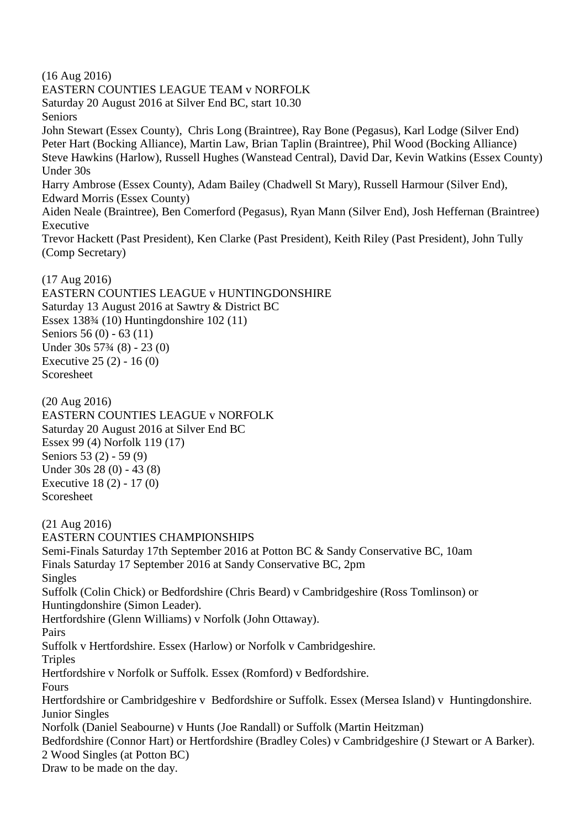(16 Aug 2016)

EASTERN COUNTIES LEAGUE TEAM v NORFOLK Saturday 20 August 2016 at Silver End BC, start 10.30 Seniors John Stewart (Essex County), Chris Long (Braintree), Ray Bone (Pegasus), Karl Lodge (Silver End) Peter Hart (Bocking Alliance), Martin Law, Brian Taplin (Braintree), Phil Wood (Bocking Alliance) Steve Hawkins (Harlow), Russell Hughes (Wanstead Central), David Dar, Kevin Watkins (Essex County) Under 30s Harry Ambrose (Essex County), Adam Bailey (Chadwell St Mary), Russell Harmour (Silver End), Edward Morris (Essex County) Aiden Neale (Braintree), Ben Comerford (Pegasus), Ryan Mann (Silver End), Josh Heffernan (Braintree) Executive Trevor Hackett (Past President), Ken Clarke (Past President), Keith Riley (Past President), John Tully (Comp Secretary)

(17 Aug 2016) EASTERN COUNTIES LEAGUE v HUNTINGDONSHIRE Saturday 13 August 2016 at Sawtry & District BC Essex 138¾ (10) Huntingdonshire 102 (11) Seniors 56 (0) - 63 (11) Under 30s 57¾ (8) - 23 (0) Executive 25 (2) - 16 (0) Scoresheet

(20 Aug 2016) EASTERN COUNTIES LEAGUE v NORFOLK Saturday 20 August 2016 at Silver End BC Essex 99 (4) Norfolk 119 (17) Seniors 53 (2) - 59 (9) Under 30s 28 (0) - 43 (8) Executive 18 (2) - 17 (0) Scoresheet

(21 Aug 2016) EASTERN COUNTIES CHAMPIONSHIPS Semi-Finals Saturday 17th September 2016 at Potton BC & Sandy Conservative BC, 10am Finals Saturday 17 September 2016 at Sandy Conservative BC, 2pm Singles Suffolk (Colin Chick) or Bedfordshire (Chris Beard) v Cambridgeshire (Ross Tomlinson) or Huntingdonshire (Simon Leader). Hertfordshire (Glenn Williams) v Norfolk (John Ottaway). Pairs Suffolk v Hertfordshire. Essex (Harlow) or Norfolk v Cambridgeshire. **Triples** Hertfordshire v Norfolk or Suffolk. Essex (Romford) v Bedfordshire. Fours Hertfordshire or Cambridgeshire v Bedfordshire or Suffolk. Essex (Mersea Island) v Huntingdonshire. Junior Singles Norfolk (Daniel Seabourne) v Hunts (Joe Randall) or Suffolk (Martin Heitzman) Bedfordshire (Connor Hart) or Hertfordshire (Bradley Coles) v Cambridgeshire (J Stewart or A Barker). 2 Wood Singles (at Potton BC) Draw to be made on the day.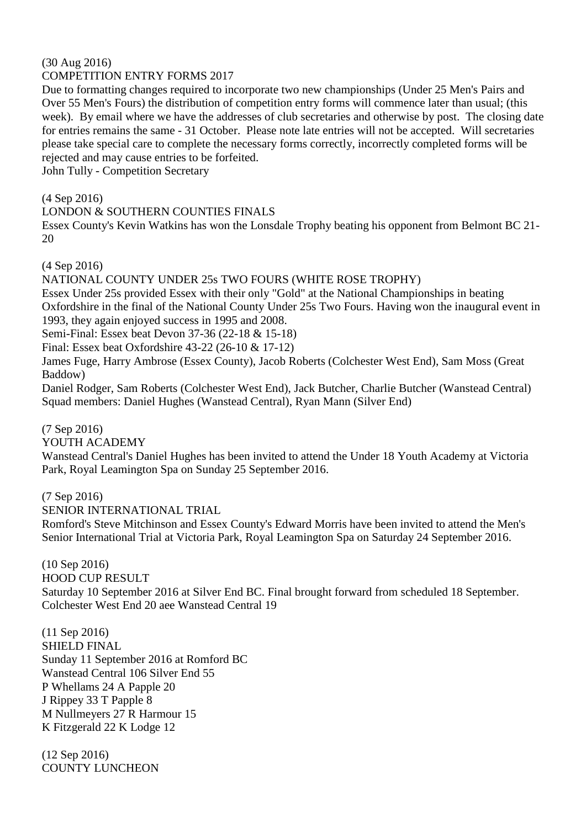#### (30 Aug 2016) COMPETITION ENTRY FORMS 2017

Due to formatting changes required to incorporate two new championships (Under 25 Men's Pairs and Over 55 Men's Fours) the distribution of competition entry forms will commence later than usual; (this week). By email where we have the addresses of club secretaries and otherwise by post. The closing date for entries remains the same - 31 October. Please note late entries will not be accepted. Will secretaries please take special care to complete the necessary forms correctly, incorrectly completed forms will be rejected and may cause entries to be forfeited.

John Tully - Competition Secretary

(4 Sep 2016)

LONDON & SOUTHERN COUNTIES FINALS

Essex County's Kevin Watkins has won the Lonsdale Trophy beating his opponent from Belmont BC 21- 20

(4 Sep 2016)

NATIONAL COUNTY UNDER 25s TWO FOURS (WHITE ROSE TROPHY) Essex Under 25s provided Essex with their only "Gold" at the National Championships in beating Oxfordshire in the final of the National County Under 25s Two Fours. Having won the inaugural event in 1993, they again enjoyed success in 1995 and 2008. Semi-Final: Essex beat Devon 37-36 (22-18 & 15-18)

Final: Essex beat Oxfordshire 43-22 (26-10 & 17-12)

James Fuge, Harry Ambrose (Essex County), Jacob Roberts (Colchester West End), Sam Moss (Great Baddow)

Daniel Rodger, Sam Roberts (Colchester West End), Jack Butcher, Charlie Butcher (Wanstead Central) Squad members: Daniel Hughes (Wanstead Central), Ryan Mann (Silver End)

(7 Sep 2016)

YOUTH ACADEMY

Wanstead Central's Daniel Hughes has been invited to attend the Under 18 Youth Academy at Victoria Park, Royal Leamington Spa on Sunday 25 September 2016.

(7 Sep 2016)

SENIOR INTERNATIONAL TRIAL

Romford's Steve Mitchinson and Essex County's Edward Morris have been invited to attend the Men's Senior International Trial at Victoria Park, Royal Leamington Spa on Saturday 24 September 2016.

(10 Sep 2016) HOOD CUP RESULT Saturday 10 September 2016 at Silver End BC. Final brought forward from scheduled 18 September. Colchester West End 20 aee Wanstead Central 19

(11 Sep 2016) SHIELD FINAL Sunday 11 September 2016 at Romford BC Wanstead Central 106 Silver End 55 P Whellams 24 A Papple 20 J Rippey 33 T Papple 8 M Nullmeyers 27 R Harmour 15 K Fitzgerald 22 K Lodge 12

(12 Sep 2016) COUNTY LUNCHEON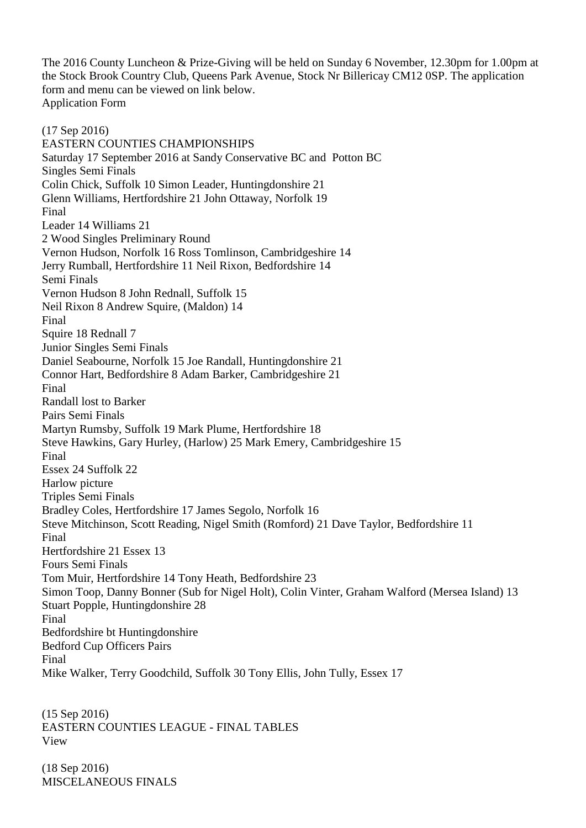The 2016 County Luncheon & Prize-Giving will be held on Sunday 6 November, 12.30pm for 1.00pm at the Stock Brook Country Club, Queens Park Avenue, Stock Nr Billericay CM12 0SP. The application form and menu can be viewed on link below. Application Form

(17 Sep 2016) EASTERN COUNTIES CHAMPIONSHIPS Saturday 17 September 2016 at Sandy Conservative BC and Potton BC Singles Semi Finals Colin Chick, Suffolk 10 Simon Leader, Huntingdonshire 21 Glenn Williams, Hertfordshire 21 John Ottaway, Norfolk 19 Final Leader 14 Williams 21 2 Wood Singles Preliminary Round Vernon Hudson, Norfolk 16 Ross Tomlinson, Cambridgeshire 14 Jerry Rumball, Hertfordshire 11 Neil Rixon, Bedfordshire 14 Semi Finals Vernon Hudson 8 John Rednall, Suffolk 15 Neil Rixon 8 Andrew Squire, (Maldon) 14 Final Squire 18 Rednall 7 Junior Singles Semi Finals Daniel Seabourne, Norfolk 15 Joe Randall, Huntingdonshire 21 Connor Hart, Bedfordshire 8 Adam Barker, Cambridgeshire 21 Final Randall lost to Barker Pairs Semi Finals Martyn Rumsby, Suffolk 19 Mark Plume, Hertfordshire 18 Steve Hawkins, Gary Hurley, (Harlow) 25 Mark Emery, Cambridgeshire 15 Final Essex 24 Suffolk 22 Harlow picture Triples Semi Finals Bradley Coles, Hertfordshire 17 James Segolo, Norfolk 16 Steve Mitchinson, Scott Reading, Nigel Smith (Romford) 21 Dave Taylor, Bedfordshire 11 Final Hertfordshire 21 Essex 13 Fours Semi Finals Tom Muir, Hertfordshire 14 Tony Heath, Bedfordshire 23 Simon Toop, Danny Bonner (Sub for Nigel Holt), Colin Vinter, Graham Walford (Mersea Island) 13 Stuart Popple, Huntingdonshire 28 Final Bedfordshire bt Huntingdonshire Bedford Cup Officers Pairs Final Mike Walker, Terry Goodchild, Suffolk 30 Tony Ellis, John Tully, Essex 17

(15 Sep 2016) EASTERN COUNTIES LEAGUE - FINAL TABLES View

(18 Sep 2016) MISCELANEOUS FINALS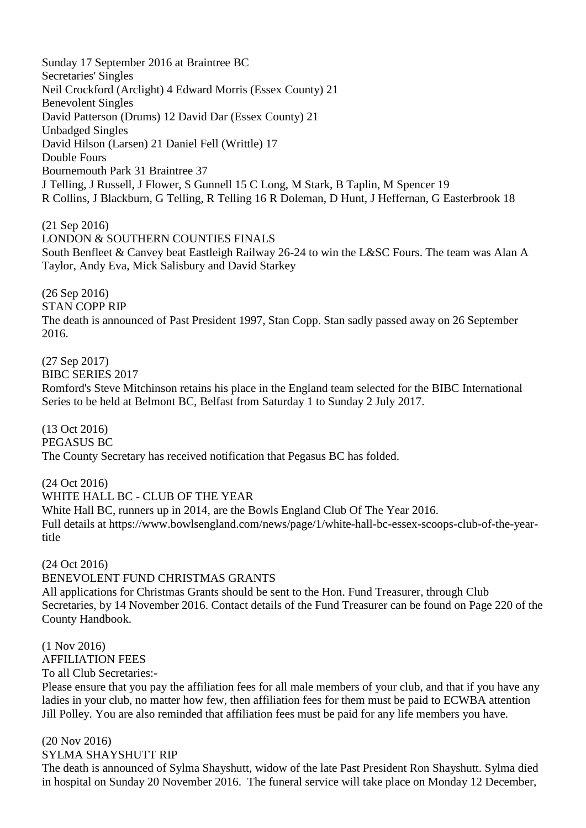Sunday 17 September 2016 at Braintree BC Secretaries' Singles Neil Crockford (Arclight) 4 Edward Morris (Essex County) 21 Benevolent Singles David Patterson (Drums) 12 David Dar (Essex County) 21 Unbadged Singles David Hilson (Larsen) 21 Daniel Fell (Writtle) 17 Double Fours Bournemouth Park 31 Braintree 37 J Telling, J Russell, J Flower, S Gunnell 15 C Long, M Stark, B Taplin, M Spencer 19 R Collins, J Blackburn, G Telling, R Telling 16 R Doleman, D Hunt, J Heffernan, G Easterbrook 18

(21 Sep 2016) LONDON & SOUTHERN COUNTIES FINALS South Benfleet & Canvey beat Eastleigh Railway 26-24 to win the L&SC Fours. The team was Alan A Taylor, Andy Eva, Mick Salisbury and David Starkey

(26 Sep 2016) STAN COPP RIP The death is announced of Past President 1997, Stan Copp. Stan sadly passed away on 26 September 2016.

(27 Sep 2017) BIBC SERIES 2017 Romford's Steve Mitchinson retains his place in the England team selected for the BIBC International Series to be held at Belmont BC, Belfast from Saturday 1 to Sunday 2 July 2017.

(13 Oct 2016) PEGASUS BC The County Secretary has received notification that Pegasus BC has folded.

(24 Oct 2016) WHITE HALL BC - CLUB OF THE YEAR White Hall BC, runners up in 2014, are the Bowls England Club Of The Year 2016. Full details at https://www.bowlsengland.com/news/page/1/white-hall-bc-essex-scoops-club-of-the-yeartitle

(24 Oct 2016) BENEVOLENT FUND CHRISTMAS GRANTS All applications for Christmas Grants should be sent to the Hon. Fund Treasurer, through Club Secretaries, by 14 November 2016. Contact details of the Fund Treasurer can be found on Page 220 of the County Handbook.

(1 Nov 2016) AFFILIATION FEES To all Club Secretaries:-

Please ensure that you pay the affiliation fees for all male members of your club, and that if you have any ladies in your club, no matter how few, then affiliation fees for them must be paid to ECWBA attention Jill Polley. You are also reminded that affiliation fees must be paid for any life members you have.

(20 Nov 2016) SYLMA SHAYSHUTT RIP

The death is announced of Sylma Shayshutt, widow of the late Past President Ron Shayshutt. Sylma died in hospital on Sunday 20 November 2016. The funeral service will take place on Monday 12 December,